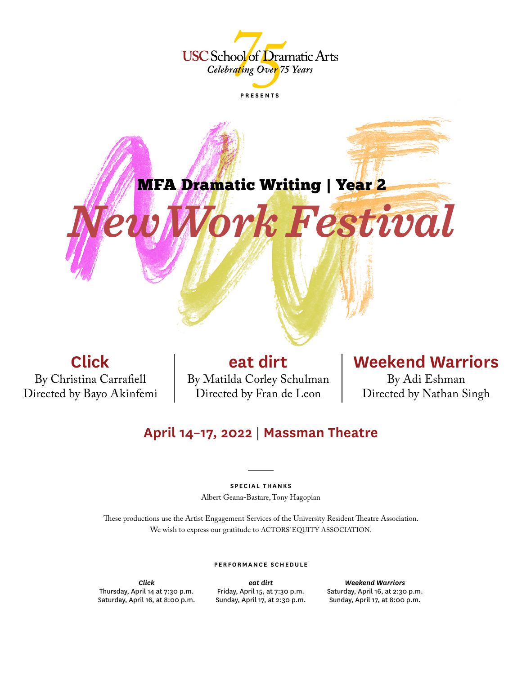



**Click** By Christina Carrafiell Directed by Bayo Akinfemi

**eat dirt** By Matilda Corley Schulman Directed by Fran de Leon

# **Weekend Warriors**

By Adi Eshman Directed by Nathan Singh

# **April 14–17, 2022** | **Massman Theatre**

# **SPECIAL THANKS**

Albert Geana-Bastare, Tony Hagopian

These productions use the Artist Engagement Services of the University Resident Theatre Association. We wish to express our gratitude to ACTORS' EQUITY ASSOCIATION.

## **PERFORMANCE SCHEDULE**

*Click* Thursday, April 14 at 7:30 p.m. Saturday, April 16, at 8:00 p.m.

*eat dirt* Friday, April 15, at 7:30 p.m. Sunday, April 17, at 2:30 p.m.

*Weekend Warriors* Saturday, April 16, at 2:30 p.m. Sunday, April 17, at 8:00 p.m.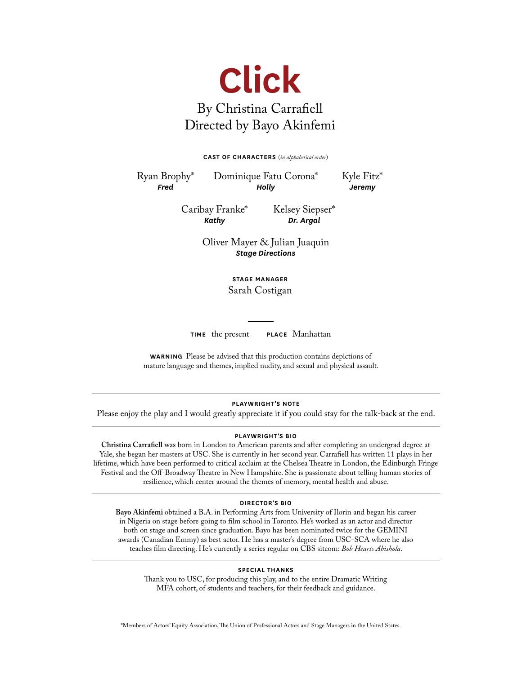

#### **CAST OF CHARACTERS** (*in alphabetical order*)

Ryan Brophy\* *Fred*

Dominique Fatu Corona\* *Holly*

Kyle Fitz\* *Jeremy*

Caribay Franke\* *Kathy*

Kelsey Siepser\* *Dr. Argal*

Oliver Mayer & Julian Juaquin *Stage Directions*

> **STAGE MANAGER** Sarah Costigan

**TIME** the present **PLACE** Manhattan

**WARNING** Please be advised that this production contains depictions of mature language and themes, implied nudity, and sexual and physical assault.

# **PLAYWRIGHT'S NOTE**

Please enjoy the play and I would greatly appreciate it if you could stay for the talk-back at the end.

## **PLAYWRIGHT'S BIO**

**Christina Carrafiell** was born in London to American parents and after completing an undergrad degree at Yale, she began her masters at USC. She is currently in her second year. Carrafiell has written 11 plays in her lifetime, which have been performed to critical acclaim at the Chelsea Theatre in London, the Edinburgh Fringe Festival and the Off-Broadway Theatre in New Hampshire. She is passionate about telling human stories of resilience, which center around the themes of memory, mental health and abuse.

#### **DIRECTOR'S BIO**

**Bayo Akinfemi** obtained a B.A. in Performing Arts from University of Ilorin and began his career in Nigeria on stage before going to film school in Toronto. He's worked as an actor and director both on stage and screen since graduation. Bayo has been nominated twice for the GEMINI awards (Canadian Emmy) as best actor. He has a master's degree from USC-SCA where he also teaches film directing. He's currently a series regular on CBS sitcom: *Bob Hearts Abishola*.

#### **SPECIAL THANKS**

Thank you to USC, for producing this play, and to the entire Dramatic Writing MFA cohort, of students and teachers, for their feedback and guidance.

\*Members of Actors' Equity Association, The Union of Professional Actors and Stage Managers in the United States.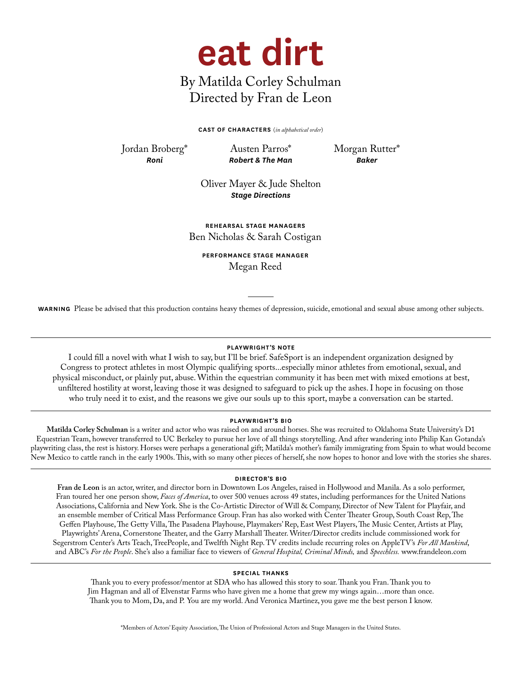

# By Matilda Corley Schulman Directed by Fran de Leon

**CAST OF CHARACTERS** (*in alphabetical order*)

Jordan Broberg\* *Roni*

Austen Parros\* *Robert & The Man* Morgan Rutter\* *Baker*

Oliver Mayer & Jude Shelton *Stage Directions*

**REHEARSAL STAGE MANAGERS** Ben Nicholas & Sarah Costigan

**PERFORMANCE STAGE MANAGER** Megan Reed

**WARNING** Please be advised that this production contains heavy themes of depression, suicide, emotional and sexual abuse among other subjects.

# **PLAYWRIGHT'S NOTE**

I could fill a novel with what I wish to say, but I'll be brief. SafeSport is an independent organization designed by Congress to protect athletes in most Olympic qualifying sports...especially minor athletes from emotional, sexual, and physical misconduct, or plainly put, abuse. Within the equestrian community it has been met with mixed emotions at best, unfiltered hostility at worst, leaving those it was designed to safeguard to pick up the ashes. I hope in focusing on those who truly need it to exist, and the reasons we give our souls up to this sport, maybe a conversation can be started.

# **PLAYWRIGHT'S BIO**

**Matilda Corley Schulman** is a writer and actor who was raised on and around horses. She was recruited to Oklahoma State University's D1 Equestrian Team, however transferred to UC Berkeley to pursue her love of all things storytelling. And after wandering into Philip Kan Gotanda's playwriting class, the rest is history. Horses were perhaps a generational gift; Matilda's mother's family immigrating from Spain to what would become New Mexico to cattle ranch in the early 1900s. This, with so many other pieces of herself, she now hopes to honor and love with the stories she shares.

# **DIRECTOR'S BIO**

**Fran de Leon** is an actor, writer, and director born in Downtown Los Angeles, raised in Hollywood and Manila. As a solo performer, Fran toured her one person show, *Faces of America*, to over 500 venues across 49 states, including performances for the United Nations Associations, California and New York. She is the Co-Artistic Director of Will & Company, Director of New Talent for Playfair, and an ensemble member of Critical Mass Performance Group. Fran has also worked with Center Theater Group, South Coast Rep, The Geffen Playhouse, The Getty Villa, The Pasadena Playhouse, Playmakers' Rep, East West Players, The Music Center, Artists at Play, Playwrights' Arena, Cornerstone Theater, and the Garry Marshall Theater. Writer/Director credits include commissioned work for Segerstrom Center's Arts Teach, TreePeople, and Twelfth Night Rep. TV credits include recurring roles on AppleTV's *For All Mankind*, and ABC's *For the People*. She's also a familiar face to viewers of *General Hospital, Criminal Minds,* and *Speechless.* www.frandeleon.com

## **SPECIAL THANKS**

Thank you to every professor/mentor at SDA who has allowed this story to soar. Thank you Fran. Thank you to Jim Hagman and all of Elvenstar Farms who have given me a home that grew my wings again…more than once. Thank you to Mom, Da, and P. You are my world. And Veronica Martinez, you gave me the best person I know.